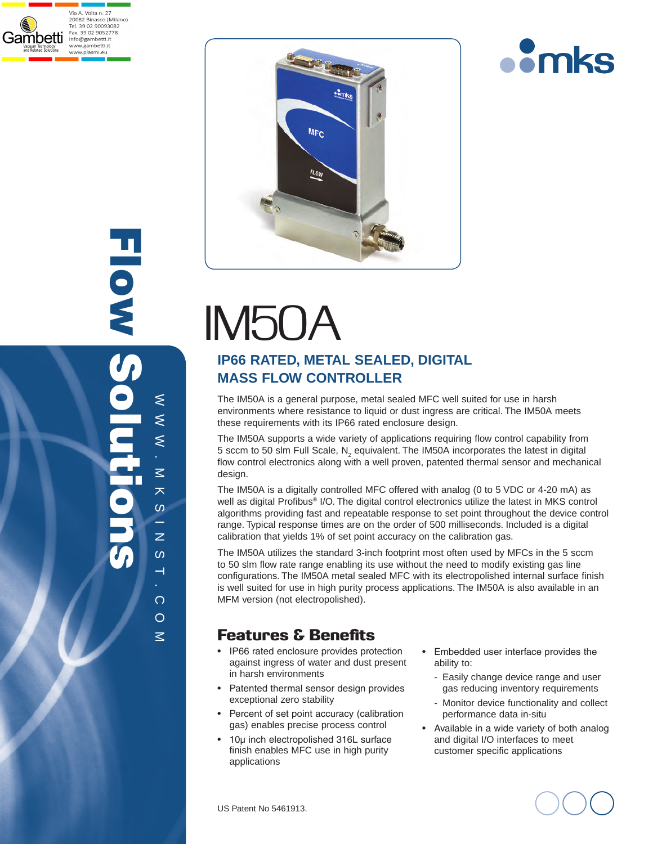





# IM50A

## **IP66 Rated, METAL Sealed, Digital Mass Flow Controller**

The IM50A is a general purpose, metal sealed MFC well suited for use in harsh environments where resistance to liquid or dust ingress are critical. The IM50A meets these requirements with its IP66 rated enclosure design.

The IM50A supports a wide variety of applications requiring flow control capability from 5 sccm to 50 slm Full Scale, N<sub>2</sub> equivalent. The IM50A incorporates the latest in digital flow control electronics along with a well proven, patented thermal sensor and mechanical design.

The IM50A is a digitally controlled MFC offered with analog (0 to 5 VDC or 4-20 mA) as well as digital Profibus® I/O. The digital control electronics utilize the latest in MKS control algorithms providing fast and repeatable response to set point throughout the device control range. Typical response times are on the order of 500 milliseconds. Included is a digital calibration that yields 1% of set point accuracy on the calibration gas.

The IM50A utilizes the standard 3-inch footprint most often used by MFCs in the 5 sccm to 50 slm flow rate range enabling its use without the need to modify existing gas line configurations. The IM50A metal sealed MFC with its electropolished internal surface finish is well suited for use in high purity process applications. The IM50A is also available in an MFM version (not electropolished).

## Features & Benefits

- IP66 rated enclosure provides protection against ingress of water and dust present in harsh environments
- Patented thermal sensor design provides exceptional zero stability
- Percent of set point accuracy (calibration gas) enables precise process control
- 10µ inch electropolished 316L surface finish enables MFC use in high purity applications
- Embedded user interface provides the ability to:
	- Easily change device range and user gas reducing inventory requirements
	- Monitor device functionality and collect performance data in-situ
- Available in a wide variety of both analog and digital I/O interfaces to meet customer specific applications

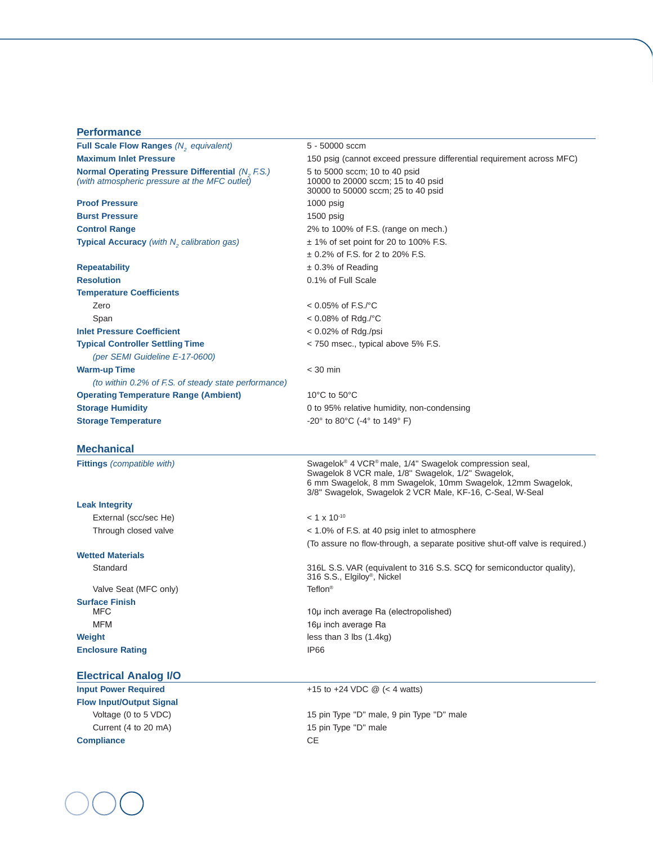| <b>Performance</b>                                                                                       |                                                                                                                                                                                                                                                                  |  |
|----------------------------------------------------------------------------------------------------------|------------------------------------------------------------------------------------------------------------------------------------------------------------------------------------------------------------------------------------------------------------------|--|
| <b>Full Scale Flow Ranges (N<sub>2</sub></b> equivalent)                                                 | 5 - 50000 sccm                                                                                                                                                                                                                                                   |  |
| <b>Maximum Inlet Pressure</b>                                                                            | 150 psig (cannot exceed pressure differential requirement across MFC)                                                                                                                                                                                            |  |
| <b>Normal Operating Pressure Differential (N, F.S.)</b><br>(with atmospheric pressure at the MFC outlet) | 5 to 5000 sccm; 10 to 40 psid<br>10000 to 20000 sccm; 15 to 40 psid<br>30000 to 50000 sccm; 25 to 40 psid                                                                                                                                                        |  |
| <b>Proof Pressure</b>                                                                                    | $1000$ psig                                                                                                                                                                                                                                                      |  |
| <b>Burst Pressure</b>                                                                                    | $1500$ psig                                                                                                                                                                                                                                                      |  |
| <b>Control Range</b>                                                                                     | 2% to 100% of F.S. (range on mech.)                                                                                                                                                                                                                              |  |
| <b>Typical Accuracy</b> (with N <sub>2</sub> calibration gas)                                            | $\pm$ 1% of set point for 20 to 100% F.S.                                                                                                                                                                                                                        |  |
|                                                                                                          | $\pm$ 0.2% of F.S. for 2 to 20% F.S.                                                                                                                                                                                                                             |  |
| <b>Repeatability</b>                                                                                     | $\pm$ 0.3% of Reading                                                                                                                                                                                                                                            |  |
| <b>Resolution</b>                                                                                        | 0.1% of Full Scale                                                                                                                                                                                                                                               |  |
| <b>Temperature Coefficients</b>                                                                          |                                                                                                                                                                                                                                                                  |  |
| Zero                                                                                                     | $< 0.05\%$ of F.S./°C                                                                                                                                                                                                                                            |  |
| Span                                                                                                     | < 0.08% of Rdg./°C                                                                                                                                                                                                                                               |  |
| <b>Inlet Pressure Coefficient</b>                                                                        | < 0.02% of Rdg./psi                                                                                                                                                                                                                                              |  |
| <b>Typical Controller Settling Time</b>                                                                  | < 750 msec., typical above 5% F.S.                                                                                                                                                                                                                               |  |
| (per SEMI Guideline E-17-0600)                                                                           |                                                                                                                                                                                                                                                                  |  |
| <b>Warm-up Time</b>                                                                                      | $<$ 30 min                                                                                                                                                                                                                                                       |  |
| (to within 0.2% of F.S. of steady state performance)                                                     |                                                                                                                                                                                                                                                                  |  |
| <b>Operating Temperature Range (Ambient)</b>                                                             | 10 $\degree$ C to 50 $\degree$ C                                                                                                                                                                                                                                 |  |
| <b>Storage Humidity</b>                                                                                  | 0 to 95% relative humidity, non-condensing                                                                                                                                                                                                                       |  |
| <b>Storage Temperature</b>                                                                               | $-20^{\circ}$ to 80 $^{\circ}$ C ( $-4^{\circ}$ to 149 $^{\circ}$ F)                                                                                                                                                                                             |  |
| <b>Mechanical</b>                                                                                        |                                                                                                                                                                                                                                                                  |  |
| <b>Fittings</b> (compatible with)                                                                        | Swagelok <sup>®</sup> 4 VCR <sup>®</sup> male, 1/4" Swagelok compression seal,<br>Swagelok 8 VCR male, 1/8" Swagelok, 1/2" Swagelok,<br>6 mm Swagelok, 8 mm Swagelok, 10mm Swagelok, 12mm Swagelok,<br>3/8" Swagelok, Swagelok 2 VCR Male, KF-16, C-Seal, W-Seal |  |
| <b>Leak Integrity</b>                                                                                    |                                                                                                                                                                                                                                                                  |  |
| External (scc/sec He)                                                                                    | $< 1 \times 10^{-10}$                                                                                                                                                                                                                                            |  |
| Through closed valve                                                                                     | < 1.0% of F.S. at 40 psig inlet to atmosphere                                                                                                                                                                                                                    |  |
|                                                                                                          | (To assure no flow-through, a separate positive shut-off valve is required.)                                                                                                                                                                                     |  |
| <b>Wetted Materials</b>                                                                                  |                                                                                                                                                                                                                                                                  |  |
| Standard                                                                                                 | 316L S.S. VAR (equivalent to 316 S.S. SCQ for semiconductor quality),<br>316 S.S., Elgiloy <sup>®</sup> , Nickel                                                                                                                                                 |  |
| Valve Seat (MFC only)                                                                                    | Teflon <sup>®</sup>                                                                                                                                                                                                                                              |  |
| <b>Surface Finish</b>                                                                                    |                                                                                                                                                                                                                                                                  |  |
| <b>MFC</b>                                                                                               | 10µ inch average Ra (electropolished)                                                                                                                                                                                                                            |  |
| <b>MFM</b>                                                                                               | 16µ inch average Ra                                                                                                                                                                                                                                              |  |
| Weight                                                                                                   | less than $3$ lbs $(1.4kg)$                                                                                                                                                                                                                                      |  |
| <b>Enclosure Rating</b>                                                                                  | <b>IP66</b>                                                                                                                                                                                                                                                      |  |

## **Electrical Analog I/O**

**Flow Input/Output Signal** Current (4 to 20 mA) 15 pin Type "D" male **Compliance** CE

**Input Power Required** +15 to +24 VDC @ (< 4 watts)

Voltage (0 to 5 VDC)  $\blacksquare$  15 pin Type "D" male, 9 pin Type "D" male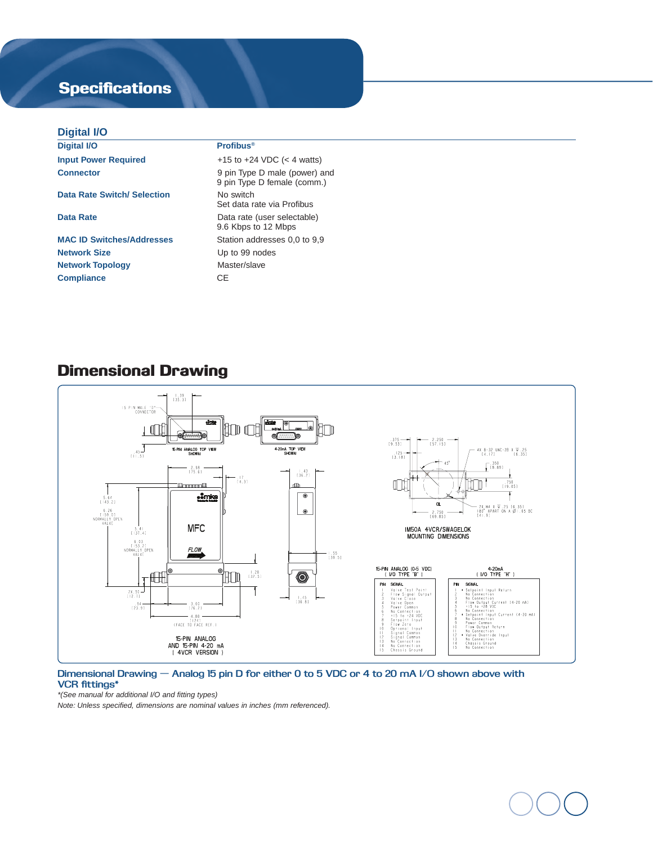# **Specifications**

## **Digital I/O**

| P                                |                                                              |  |
|----------------------------------|--------------------------------------------------------------|--|
| <b>Digital I/O</b>               | <b>Profibus®</b>                                             |  |
| <b>Input Power Required</b>      | +15 to +24 VDC $(< 4$ watts)                                 |  |
| <b>Connector</b>                 | 9 pin Type D male (power) and<br>9 pin Type D female (comm.) |  |
| Data Rate Switch/ Selection      | No switch<br>Set data rate via Profibus                      |  |
| Data Rate                        | Data rate (user selectable)<br>9.6 Kbps to 12 Mbps           |  |
| <b>MAC ID Switches/Addresses</b> | Station addresses 0,0 to 9,9                                 |  |
| <b>Network Size</b>              | Up to 99 nodes                                               |  |
| <b>Network Topology</b>          | Master/slave                                                 |  |
| <b>Compliance</b>                | CE.                                                          |  |
|                                  |                                                              |  |

## Dimensional Drawing



### **Dimensional Drawing — Analog 15 pin D for either 0 to 5 VDC or 4 to 20 mA I/O shown above with VCR fittings\***

*\*(See manual for additional I/O and fitting types)* 

*Note: Unless specified, dimensions are nominal values in inches (mm referenced).*